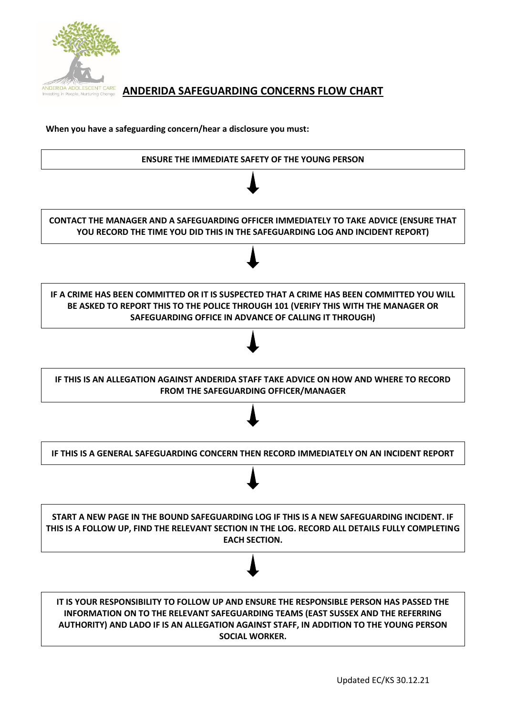

# **ANDERIDA ADOLESCENT CARE** ANDERIDA SAFEGUARDING CONCERNS FLOW CHART

**When you have a safeguarding concern/hear a disclosure you must:**

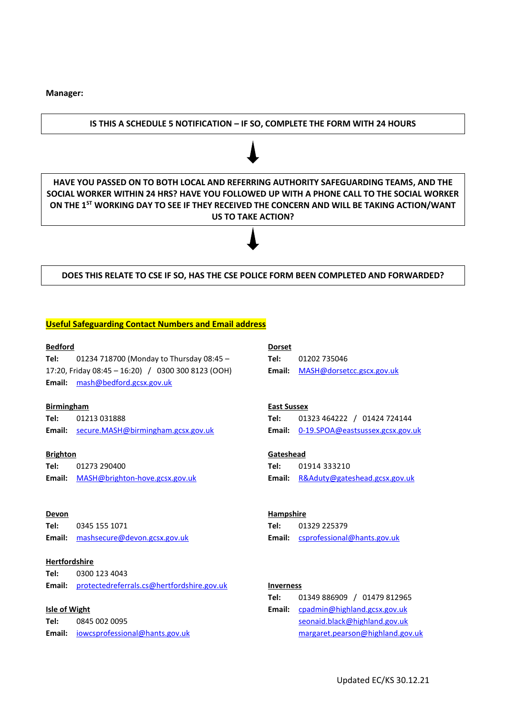## **Manager:**

## **IS THIS A SCHEDULE 5 NOTIFICATION – IF SO, COMPLETE THE FORM WITH 24 HOURS**

**HAVE YOU PASSED ON TO BOTH LOCAL AND REFERRING AUTHORITY SAFEGUARDING TEAMS, AND THE SOCIAL WORKER WITHIN 24 HRS? HAVE YOU FOLLOWED UP WITH A PHONE CALL TO THE SOCIAL WORKER ON THE 1ST WORKING DAY TO SEE IF THEY RECEIVED THE CONCERN AND WILL BE TAKING ACTION/WANT US TO TAKE ACTION?**

## **DOES THIS RELATE TO CSE IF SO, HAS THE CSE POLICE FORM BEEN COMPLETED AND FORWARDED?**

### **Useful Safeguarding Contact Numbers and Email address**

#### **Bedford**

**Tel:** 01234 718700 (Monday to Thursday 08:45 – 17:20, Friday 08:45 – 16:20) / 0300 300 8123 (OOH) **Email:** [mash@bedford.gcsx.gov.uk](mailto:mash@bedford.gcsx.gov.uk)

#### **Birmingham**

**Tel:** 01213 031888 **Email:** [secure.MASH@birmingham.gcsx.gov.uk](mailto:secure.MASH@birmingham.gcsx.gov.uk)

#### **Brighton**

**Tel:** 01273 290400 **Email:** [MASH@brighton-hove.gcsx.gov.uk](mailto:MASH@brighton-hove.gcsx.gov.uk)

#### **Devon**

**Tel:** 0345 155 1071 **Email:** [mashsecure@devon.gcsx.gov.uk](mailto:mashsecure@devon.gcsx.gov.uk)

## **Hertfordshire**

**Tel:** 0300 123 4043 **Email:** [protectedreferrals.cs@hertfordshire.gov.uk](mailto:protectedreferrals.cs@hertfordshire.gov.uk)

#### **Isle of Wight**

**Tel:** 0845 002 0095 **Email:** [iowcsprofessional@hants.gov.uk](mailto:iowcsprofessional@hants.gov.uk)

## **Dorset Tel:** 01202 735046 **Email:** [MASH@dorsetcc.gscx.gov.uk](mailto:MASH@dorsetcc.gscx.gov.uk)

## **East Sussex**

**Tel:** 01323 464222 / 01424 724144 **Email:** [0-19.SPOA@eastsussex.gcsx.gov.uk](mailto:0-19.SPOA@eastsussex.gcsx.gov.uk)

#### **Gateshead**

**Tel:** 01914 333210 **Email:** [R&Aduty@gateshead.gcsx.gov.uk](mailto:R&Aduty@gateshead.gcsx.gov.uk)

#### **Hampshire**

**Tel:** 01329 225379 **Email:** [csprofessional@hants.gov.uk](mailto:csprofessional@hants.gov.uk)

#### **Inverness**

| Tel:   | 01349 886909 / 01479 812965      |
|--------|----------------------------------|
| Email: | cpadmin@highland.gcsx.gov.uk     |
|        | seonaid.black@highland.gov.uk    |
|        | margaret.pearson@highland.gov.uk |